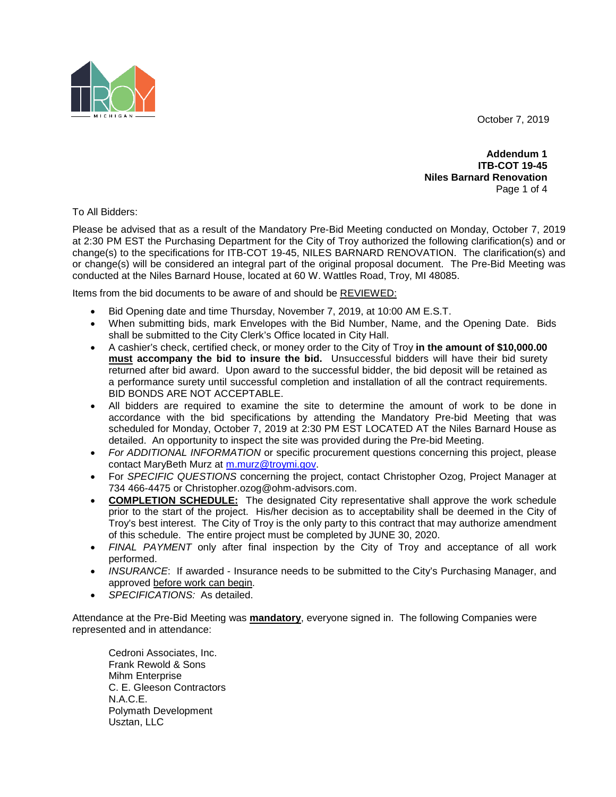October 7, 2019



**Addendum 1 ITB-COT 19-45 Niles Barnard Renovation** Page 1 of 4

To All Bidders:

Please be advised that as a result of the Mandatory Pre-Bid Meeting conducted on Monday, October 7, 2019 at 2:30 PM EST the Purchasing Department for the City of Troy authorized the following clarification(s) and or change(s) to the specifications for ITB-COT 19-45, NILES BARNARD RENOVATION. The clarification(s) and or change(s) will be considered an integral part of the original proposal document. The Pre-Bid Meeting was conducted at the Niles Barnard House, located at 60 W. Wattles Road, Troy, MI 48085.

Items from the bid documents to be aware of and should be REVIEWED:

- Bid Opening date and time Thursday, November 7, 2019, at 10:00 AM E.S.T.
- When submitting bids, mark Envelopes with the Bid Number, Name, and the Opening Date. Bids shall be submitted to the City Clerk's Office located in City Hall.
- A cashier's check, certified check, or money order to the City of Troy **in the amount of \$10,000.00 must accompany the bid to insure the bid.** Unsuccessful bidders will have their bid surety returned after bid award. Upon award to the successful bidder, the bid deposit will be retained as a performance surety until successful completion and installation of all the contract requirements. BID BONDS ARE NOT ACCEPTABLE.
- All bidders are required to examine the site to determine the amount of work to be done in accordance with the bid specifications by attending the Mandatory Pre-bid Meeting that was scheduled for Monday, October 7, 2019 at 2:30 PM EST LOCATED AT the Niles Barnard House as detailed. An opportunity to inspect the site was provided during the Pre-bid Meeting.
- *For ADDITIONAL INFORMATION* or specific procurement questions concerning this project, please contact MaryBeth Murz at [m.murz@troymi.gov.](mailto:m.murz@troymi.gov)
- For *SPECIFIC QUESTIONS* concerning the project, contact Christopher Ozog, Project Manager at 734 466-4475 or Christopher.ozog@ohm-advisors.com.
- **COMPLETION SCHEDULE:** The designated City representative shall approve the work schedule prior to the start of the project. His/her decision as to acceptability shall be deemed in the City of Troy's best interest. The City of Troy is the only party to this contract that may authorize amendment of this schedule. The entire project must be completed by JUNE 30, 2020.
- *FINAL PAYMENT* only after final inspection by the City of Troy and acceptance of all work performed.
- *INSURANCE*: If awarded Insurance needs to be submitted to the City's Purchasing Manager, and approved before work can begin.
- *SPECIFICATIONS:* As detailed.

Attendance at the Pre-Bid Meeting was **mandatory**, everyone signed in. The following Companies were represented and in attendance:

Cedroni Associates, Inc. Frank Rewold & Sons Mihm Enterprise C. E. Gleeson Contractors N.A.C.E. Polymath Development Usztan, LLC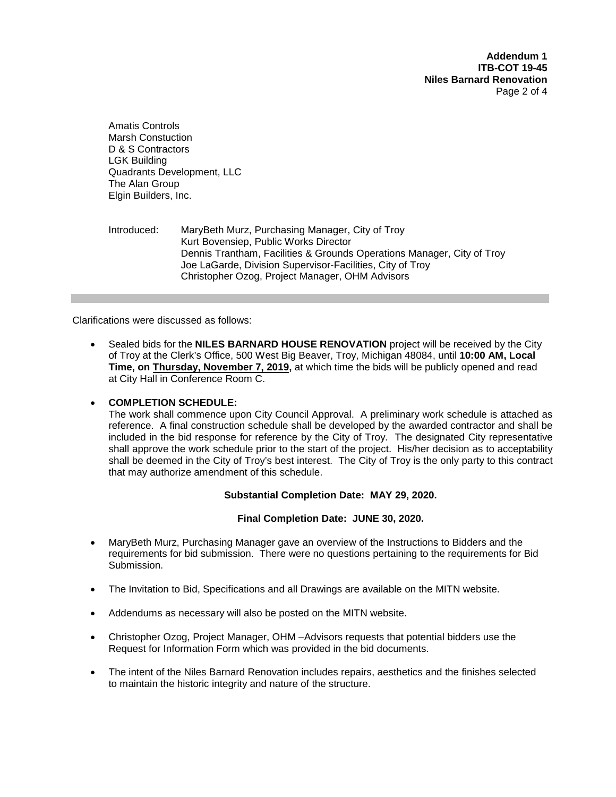**Addendum 1 ITB-COT 19-45 Niles Barnard Renovation** Page 2 of 4

Amatis Controls Marsh Constuction D & S Contractors LGK Building Quadrants Development, LLC The Alan Group Elgin Builders, Inc.

# Introduced: MaryBeth Murz, Purchasing Manager, City of Troy Kurt Bovensiep, Public Works Director Dennis Trantham, Facilities & Grounds Operations Manager, City of Troy Joe LaGarde, Division Supervisor-Facilities, City of Troy Christopher Ozog, Project Manager, OHM Advisors

Clarifications were discussed as follows:

• Sealed bids for the **NILES BARNARD HOUSE RENOVATION** project will be received by the City of Troy at the Clerk's Office, 500 West Big Beaver, Troy, Michigan 48084, until **10:00 AM, Local Time, on Thursday, November 7, 2019,** at which time the bids will be publicly opened and read at City Hall in Conference Room C.

# • **COMPLETION SCHEDULE:**

The work shall commence upon City Council Approval. A preliminary work schedule is attached as reference. A final construction schedule shall be developed by the awarded contractor and shall be included in the bid response for reference by the City of Troy. The designated City representative shall approve the work schedule prior to the start of the project. His/her decision as to acceptability shall be deemed in the City of Troy's best interest. The City of Troy is the only party to this contract that may authorize amendment of this schedule.

# **Substantial Completion Date: MAY 29, 2020.**

### **Final Completion Date: JUNE 30, 2020.**

- MaryBeth Murz, Purchasing Manager gave an overview of the Instructions to Bidders and the requirements for bid submission. There were no questions pertaining to the requirements for Bid Submission.
- The Invitation to Bid, Specifications and all Drawings are available on the MITN website.
- Addendums as necessary will also be posted on the MITN website.
- Christopher Ozog, Project Manager, OHM –Advisors requests that potential bidders use the Request for Information Form which was provided in the bid documents.
- The intent of the Niles Barnard Renovation includes repairs, aesthetics and the finishes selected to maintain the historic integrity and nature of the structure.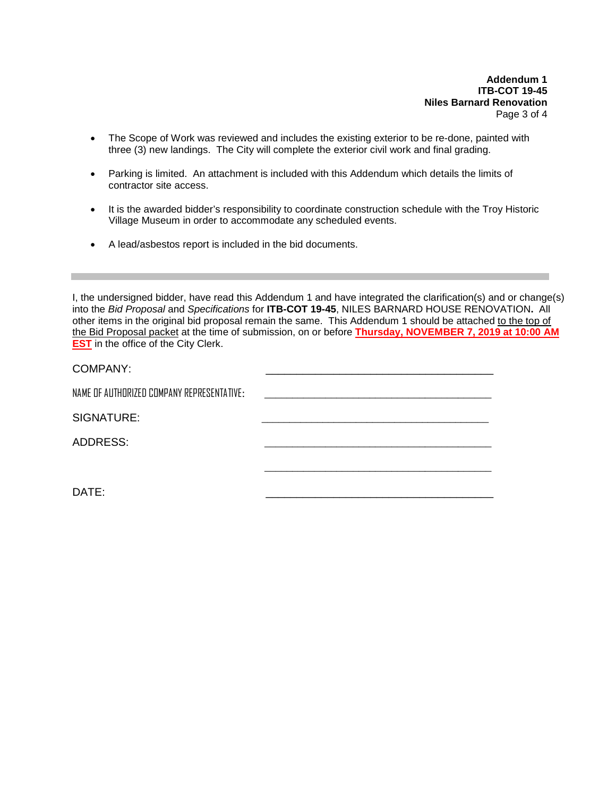**Addendum 1 ITB-COT 19-45 Niles Barnard Renovation** Page 3 of 4

- The Scope of Work was reviewed and includes the existing exterior to be re-done, painted with three (3) new landings. The City will complete the exterior civil work and final grading.
- Parking is limited. An attachment is included with this Addendum which details the limits of contractor site access.
- It is the awarded bidder's responsibility to coordinate construction schedule with the Troy Historic Village Museum in order to accommodate any scheduled events.
- A lead/asbestos report is included in the bid documents.

I, the undersigned bidder, have read this Addendum 1 and have integrated the clarification(s) and or change(s) into the *Bid Proposal* and *Specifications* for **ITB-COT 19-45**, NILES BARNARD HOUSE RENOVATION**.** All other items in the original bid proposal remain the same. This Addendum 1 should be attached to the top of the Bid Proposal packet at the time of submission, on or before **Thursday, NOVEMBER 7, 2019 at 10:00 AM EST** in the office of the City Clerk.

| COMPANY:                                   |  |
|--------------------------------------------|--|
| NAME OF AUTHORIZED COMPANY REPRESENTATIVE: |  |
| SIGNATURE:                                 |  |
| <b>ADDRESS:</b>                            |  |
|                                            |  |
|                                            |  |

DATE: \_\_\_\_\_\_\_\_\_\_\_\_\_\_\_\_\_\_\_\_\_\_\_\_\_\_\_\_\_\_\_\_\_\_\_\_\_